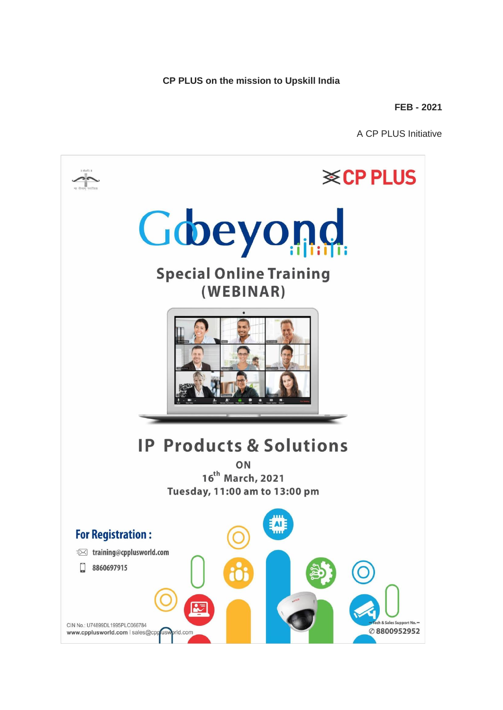**CP PLUS on the mission to Upskill India** 

**FEB - 2021**

A CP PLUS Initiative

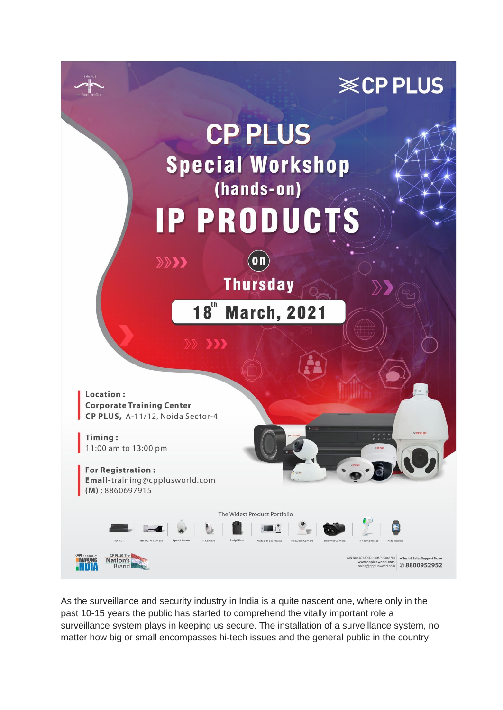

As the surveillance and security industry in India is a quite nascent one, where only in the past 10-15 years the public has started to comprehend the vitally important role a surveillance system plays in keeping us secure. The installation of a surveillance system, no matter how big or small encompasses hi-tech issues and the general public in the country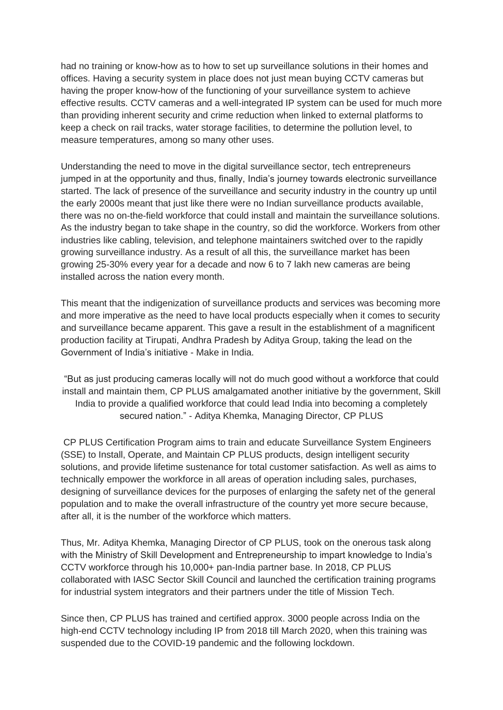had no training or know-how as to how to set up surveillance solutions in their homes and offices. Having a security system in place does not just mean buying CCTV cameras but having the proper know-how of the functioning of your surveillance system to achieve effective results. CCTV cameras and a well-integrated IP system can be used for much more than providing inherent security and crime reduction when linked to external platforms to keep a check on rail tracks, water storage facilities, to determine the pollution level, to measure temperatures, among so many other uses.

Understanding the need to move in the digital surveillance sector, tech entrepreneurs jumped in at the opportunity and thus, finally, India's journey towards electronic surveillance started. The lack of presence of the surveillance and security industry in the country up until the early 2000s meant that just like there were no Indian surveillance products available, there was no on-the-field workforce that could install and maintain the surveillance solutions. As the industry began to take shape in the country, so did the workforce. Workers from other industries like cabling, television, and telephone maintainers switched over to the rapidly growing surveillance industry. As a result of all this, the surveillance market has been growing 25-30% every year for a decade and now 6 to 7 lakh new cameras are being installed across the nation every month.

This meant that the indigenization of surveillance products and services was becoming more and more imperative as the need to have local products especially when it comes to security and surveillance became apparent. This gave a result in the establishment of a magnificent production facility at Tirupati, Andhra Pradesh by Aditya Group, taking the lead on the Government of India's initiative - Make in India.

"But as just producing cameras locally will not do much good without a workforce that could install and maintain them, CP PLUS amalgamated another initiative by the government, Skill India to provide a qualified workforce that could lead India into becoming a completely secured nation." - Aditya Khemka, Managing Director, CP PLUS

CP PLUS Certification Program aims to train and educate Surveillance System Engineers (SSE) to Install, Operate, and Maintain CP PLUS products, design intelligent security solutions, and provide lifetime sustenance for total customer satisfaction. As well as aims to technically empower the workforce in all areas of operation including sales, purchases, designing of surveillance devices for the purposes of enlarging the safety net of the general population and to make the overall infrastructure of the country yet more secure because, after all, it is the number of the workforce which matters.

Thus, Mr. Aditya Khemka, Managing Director of CP PLUS, took on the onerous task along with the Ministry of Skill Development and Entrepreneurship to impart knowledge to India's CCTV workforce through his 10,000+ pan-India partner base. In 2018, CP PLUS collaborated with IASC Sector Skill Council and launched the certification training programs for industrial system integrators and their partners under the title of Mission Tech.

Since then, CP PLUS has trained and certified approx. 3000 people across India on the high-end CCTV technology including IP from 2018 till March 2020, when this training was suspended due to the COVID-19 pandemic and the following lockdown.